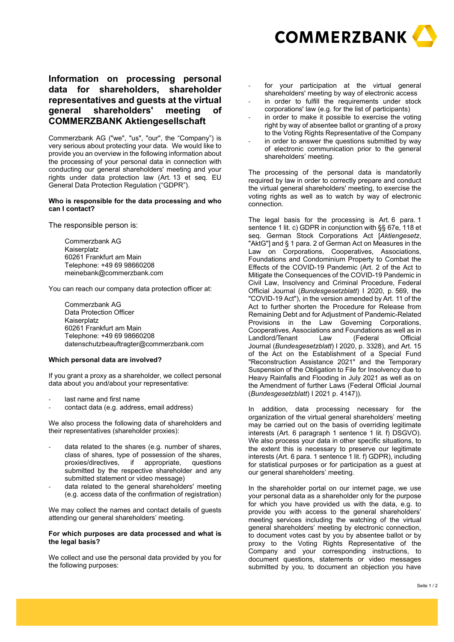

# **Information on processing personal data for shareholders, shareholder representatives and guests at the virtual general shareholders' meeting of COMMERZBANK Aktiengesellschaft**

Commerzbank AG ("we", "us", "our", the "Company") is very serious about protecting your data. We would like to provide you an overview in the following information about the processing of your personal data in connection with conducting our general shareholders' meeting and your rights under data protection law (Art. 13 et seq. EU General Data Protection Regulation ("GDPR").

## **Who is responsible for the data processing and who can I contact?**

The responsible person is:

Commerzbank AG Kaiserplatz 60261 Frankfurt am Main Telephone: +49 69 98660208 meinebank@commerzbank.com

You can reach our company data protection officer at:

Commerzbank AG Data Protection Officer Kaiserplatz 60261 Frankfurt am Main Telephone: +49 69 98660208 datenschutzbeauftragter@commerzbank.com

## **Which personal data are involved?**

If you grant a proxy as a shareholder, we collect personal data about you and/about your representative:

- last name and first name
- contact data (e.g. address, email address)

We also process the following data of shareholders and their representatives (shareholder proxies):

- data related to the shares (e.g. number of shares, class of shares, type of possession of the shares,<br>proxies/directives, if appropriate, questions proxies/directives, if appropriate, submitted by the respective shareholder and any submitted statement or video message)
- data related to the general shareholders' meeting (e.g. access data of the confirmation of registration)

We may collect the names and contact details of guests attending our general shareholders' meeting.

#### **For which purposes are data processed and what is the legal basis?**

We collect and use the personal data provided by you for the following purposes:

- for your participation at the virtual general shareholders' meeting by way of electronic access
- in order to fulfill the requirements under stock corporations' law (e.g. for the list of participants)
- in order to make it possible to exercise the voting right by way of absentee ballot or granting of a proxy to the Voting Rights Representative of the Company
- in order to answer the questions submitted by way of electronic communication prior to the general shareholders' meeting.

The processing of the personal data is mandatorily required by law in order to correctly prepare and conduct the virtual general shareholders' meeting, to exercise the voting rights as well as to watch by way of electronic connection.

The legal basis for the processing is Art. 6 para. 1 sentence 1 lit. c) GDPR in conjunction with §§ 67e, 118 et seq. German Stock Corporations Act [*Aktiengesetz*, "AktG"] and § 1 para. 2 of German Act on Measures in the Law on Corporations, Cooperatives, Associations, Foundations and Condominium Property to Combat the Effects of the COVID-19 Pandemic (Art. 2 of the Act to Mitigate the Consequences of the COVID-19 Pandemic in Civil Law, Insolvency and Criminal Procedure, Federal Official Journal (*Bundesgesetzblatt*) I 2020, p. 569, the "COVID-19 Act"), in the version amended by Art. 11 of the Act to further shorten the Procedure for Release from Remaining Debt and for Adjustment of Pandemic-Related Provisions in the Law Governing Corporations, Cooperatives, Associations and Foundations as well as in Landlord/Tenant Law (Federal Official Journal (*Bundesgesetzblatt*) I 2020, p. 3328), and Art. 15 of the Act on the Establishment of a Special Fund "Reconstruction Assistance 2021" and the Temporary Suspension of the Obligation to File for Insolvency due to Heavy Rainfalls and Flooding in July 2021 as well as on the Amendment of further Laws (Federal Official Journal (*Bundesgesetzblatt*) I 2021 p. 4147)).

In addition, data processing necessary for the organization of the virtual general shareholders' meeting may be carried out on the basis of overriding legitimate interests (Art. 6 paragraph 1 sentence 1 lit. f) DSGVO). We also process your data in other specific situations, to the extent this is necessary to preserve our legitimate interests (Art. 6 para. 1 sentence 1 lit. f) GDPR), including for statistical purposes or for participation as a guest at our general shareholders' meeting.

In the shareholder portal on our internet page, we use your personal data as a shareholder only for the purpose for which you have provided us with the data, e.g. to provide you with access to the general shareholders' meeting services including the watching of the virtual general shareholders' meeting by electronic connection, to document votes cast by you by absentee ballot or by proxy to the Voting Rights Representative of the Company and your corresponding instructions, to document questions, statements or video messages submitted by you, to document an objection you have